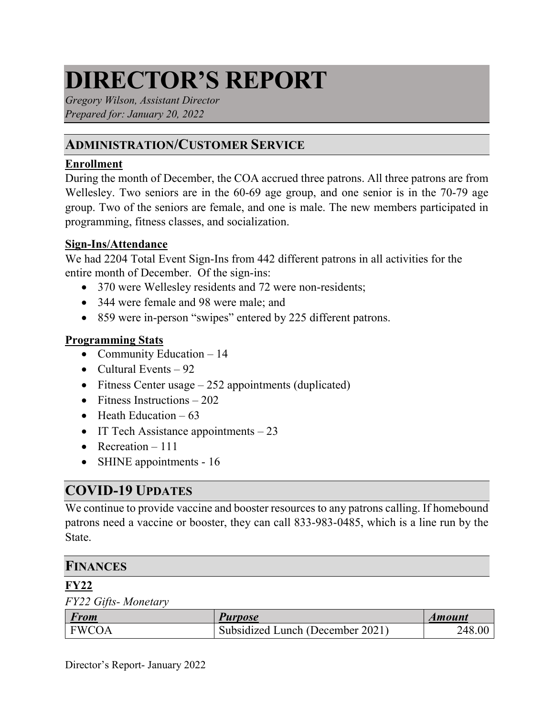# **DIRECTOR'S REPORT**

*Gregory Wilson, Assistant Director Prepared for: January 20, 2022*

## **ADMINISTRATION/CUSTOMER SERVICE**

#### **Enrollment**

During the month of December, the COA accrued three patrons. All three patrons are from Wellesley. Two seniors are in the 60-69 age group, and one senior is in the 70-79 age group. Two of the seniors are female, and one is male. The new members participated in programming, fitness classes, and socialization.

#### **Sign-Ins/Attendance**

We had 2204 Total Event Sign-Ins from 442 different patrons in all activities for the entire month of December. Of the sign-ins:

- 370 were Wellesley residents and 72 were non-residents;
- 344 were female and 98 were male; and
- 859 were in-person "swipes" entered by 225 different patrons.

#### **Programming Stats**

- Community Education  $-14$
- Cultural Events  $-92$
- Fitness Center usage  $-252$  appointments (duplicated)
- Fitness Instructions  $-202$
- Heath Education  $-63$
- IT Tech Assistance appointments  $-23$
- Recreation  $-111$
- SHINE appointments 16

## **COVID-19 UPDATES**

We continue to provide vaccine and booster resources to any patrons calling. If homebound patrons need a vaccine or booster, they can call 833-983-0485, which is a line run by the State.

#### **FINANCES**

#### **FY22**

*FY22 Gifts- Monetary*

| From         | <i>Purpose</i>                   | <i><b>Amount</b></i> |
|--------------|----------------------------------|----------------------|
| <b>FWCOA</b> | Subsidized Lunch (December 2021) | 248.00               |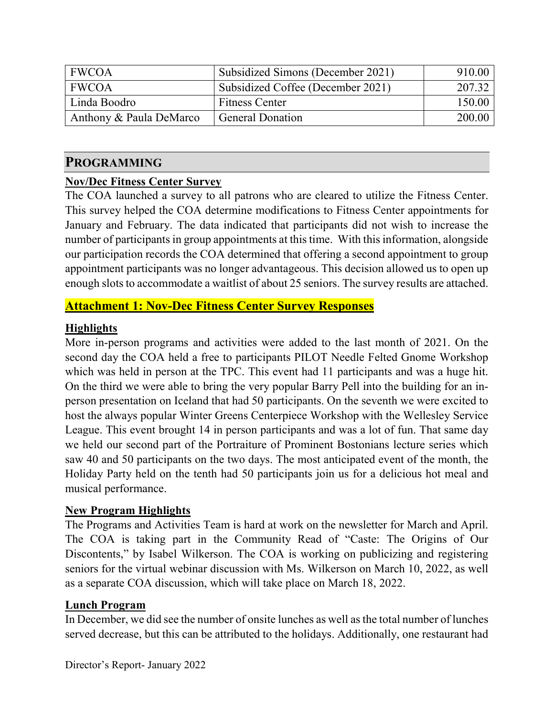| <b>FWCOA</b>            | Subsidized Simons (December 2021) | 910.00 |
|-------------------------|-----------------------------------|--------|
| <b>FWCOA</b>            | Subsidized Coffee (December 2021) | 207.32 |
| Linda Boodro            | <b>Fitness Center</b>             | 150.00 |
| Anthony & Paula DeMarco | <b>General Donation</b>           | 200.00 |

#### **PROGRAMMING**

#### **Nov/Dec Fitness Center Survey**

The COA launched a survey to all patrons who are cleared to utilize the Fitness Center. This survey helped the COA determine modifications to Fitness Center appointments for January and February. The data indicated that participants did not wish to increase the number of participants in group appointments at this time. With this information, alongside our participation records the COA determined that offering a second appointment to group appointment participants was no longer advantageous. This decision allowed us to open up enough slots to accommodate a waitlist of about 25 seniors. The survey results are attached.

## **Attachment 1: Nov-Dec Fitness Center Survey Responses**

#### **Highlights**

More in-person programs and activities were added to the last month of 2021. On the second day the COA held a free to participants PILOT Needle Felted Gnome Workshop which was held in person at the TPC. This event had 11 participants and was a huge hit. On the third we were able to bring the very popular Barry Pell into the building for an inperson presentation on Iceland that had 50 participants. On the seventh we were excited to host the always popular Winter Greens Centerpiece Workshop with the Wellesley Service League. This event brought 14 in person participants and was a lot of fun. That same day we held our second part of the Portraiture of Prominent Bostonians lecture series which saw 40 and 50 participants on the two days. The most anticipated event of the month, the Holiday Party held on the tenth had 50 participants join us for a delicious hot meal and musical performance.

#### **New Program Highlights**

The Programs and Activities Team is hard at work on the newsletter for March and April. The COA is taking part in the Community Read of "Caste: The Origins of Our Discontents," by Isabel Wilkerson. The COA is working on publicizing and registering seniors for the virtual webinar discussion with Ms. Wilkerson on March 10, 2022, as well as a separate COA discussion, which will take place on March 18, 2022.

#### **Lunch Program**

In December, we did see the number of onsite lunches as well as the total number of lunches served decrease, but this can be attributed to the holidays. Additionally, one restaurant had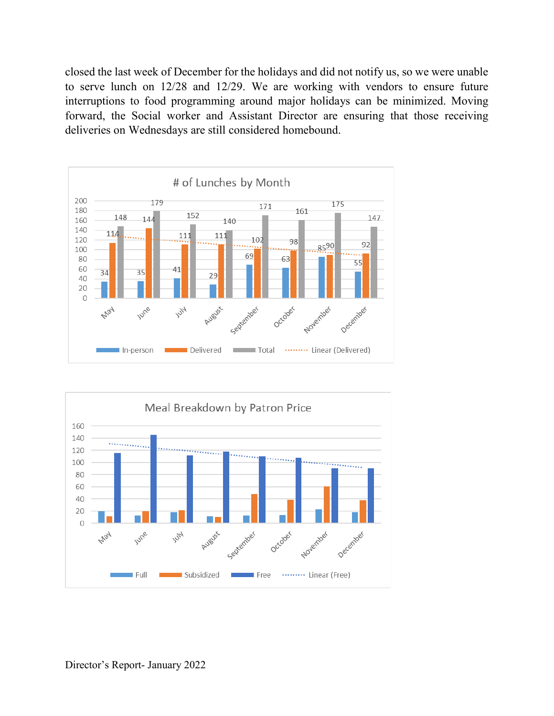closed the last week of December for the holidays and did not notify us, so we were unable to serve lunch on 12/28 and 12/29. We are working with vendors to ensure future interruptions to food programming around major holidays can be minimized. Moving forward, the Social worker and Assistant Director are ensuring that those receiving deliveries on Wednesdays are still considered homebound.



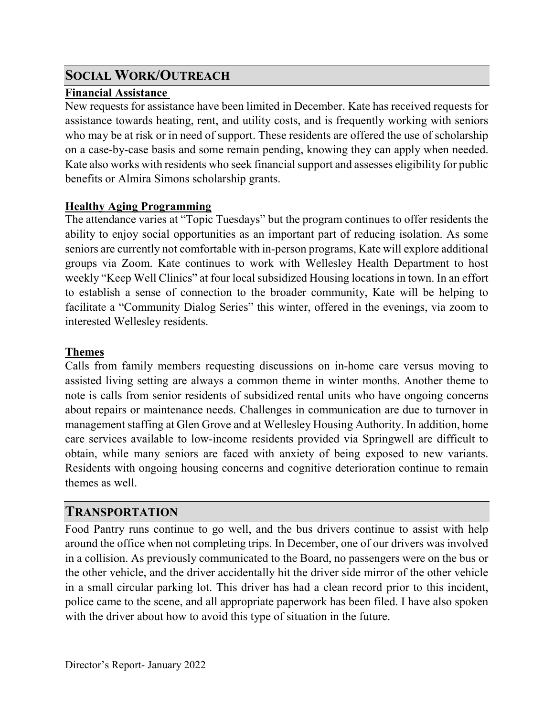## **SOCIAL WORK/OUTREACH**

## **Financial Assistance**

New requests for assistance have been limited in December. Kate has received requests for assistance towards heating, rent, and utility costs, and is frequently working with seniors who may be at risk or in need of support. These residents are offered the use of scholarship on a case-by-case basis and some remain pending, knowing they can apply when needed. Kate also works with residents who seek financial support and assesses eligibility for public benefits or Almira Simons scholarship grants.

## **Healthy Aging Programming**

The attendance varies at "Topic Tuesdays" but the program continues to offer residents the ability to enjoy social opportunities as an important part of reducing isolation. As some seniors are currently not comfortable with in-person programs, Kate will explore additional groups via Zoom. Kate continues to work with Wellesley Health Department to host weekly "Keep Well Clinics" at four local subsidized Housing locations in town. In an effort to establish a sense of connection to the broader community, Kate will be helping to facilitate a "Community Dialog Series" this winter, offered in the evenings, via zoom to interested Wellesley residents.

## **Themes**

Calls from family members requesting discussions on in-home care versus moving to assisted living setting are always a common theme in winter months. Another theme to note is calls from senior residents of subsidized rental units who have ongoing concerns about repairs or maintenance needs. Challenges in communication are due to turnover in management staffing at Glen Grove and at Wellesley Housing Authority. In addition, home care services available to low-income residents provided via Springwell are difficult to obtain, while many seniors are faced with anxiety of being exposed to new variants. Residents with ongoing housing concerns and cognitive deterioration continue to remain themes as well.

## **TRANSPORTATION**

Food Pantry runs continue to go well, and the bus drivers continue to assist with help around the office when not completing trips. In December, one of our drivers was involved in a collision. As previously communicated to the Board, no passengers were on the bus or the other vehicle, and the driver accidentally hit the driver side mirror of the other vehicle in a small circular parking lot. This driver has had a clean record prior to this incident, police came to the scene, and all appropriate paperwork has been filed. I have also spoken with the driver about how to avoid this type of situation in the future.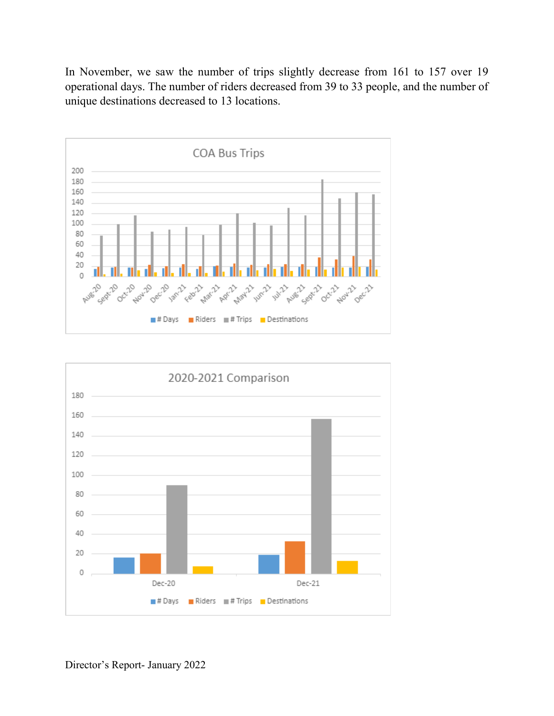In November, we saw the number of trips slightly decrease from 161 to 157 over 19 operational days. The number of riders decreased from 39 to 33 people, and the number of unique destinations decreased to 13 locations.



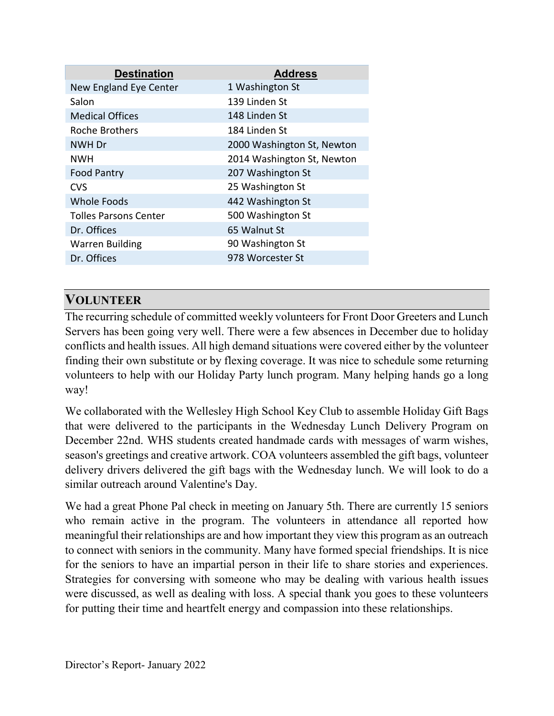| <b>Destination</b>           | <b>Address</b>             |
|------------------------------|----------------------------|
| New England Eye Center       | 1 Washington St            |
| Salon                        | 139 Linden St              |
| <b>Medical Offices</b>       | 148 Linden St              |
| <b>Roche Brothers</b>        | 184 Linden St              |
| NWH Dr                       | 2000 Washington St, Newton |
| <b>NWH</b>                   | 2014 Washington St, Newton |
| <b>Food Pantry</b>           | 207 Washington St          |
| <b>CVS</b>                   | 25 Washington St           |
| <b>Whole Foods</b>           | 442 Washington St          |
| <b>Tolles Parsons Center</b> | 500 Washington St          |
| Dr. Offices                  | 65 Walnut St               |
| <b>Warren Building</b>       | 90 Washington St           |
| Dr. Offices                  | 978 Worcester St           |
|                              |                            |

## **VOLUNTEER**

The recurring schedule of committed weekly volunteers for Front Door Greeters and Lunch Servers has been going very well. There were a few absences in December due to holiday conflicts and health issues. All high demand situations were covered either by the volunteer finding their own substitute or by flexing coverage. It was nice to schedule some returning volunteers to help with our Holiday Party lunch program. Many helping hands go a long way!

We collaborated with the Wellesley High School Key Club to assemble Holiday Gift Bags that were delivered to the participants in the Wednesday Lunch Delivery Program on December 22nd. WHS students created handmade cards with messages of warm wishes, season's greetings and creative artwork. COA volunteers assembled the gift bags, volunteer delivery drivers delivered the gift bags with the Wednesday lunch. We will look to do a similar outreach around Valentine's Day.

We had a great Phone Pal check in meeting on January 5th. There are currently 15 seniors who remain active in the program. The volunteers in attendance all reported how meaningful their relationships are and how important they view this program as an outreach to connect with seniors in the community. Many have formed special friendships. It is nice for the seniors to have an impartial person in their life to share stories and experiences. Strategies for conversing with someone who may be dealing with various health issues were discussed, as well as dealing with loss. A special thank you goes to these volunteers for putting their time and heartfelt energy and compassion into these relationships.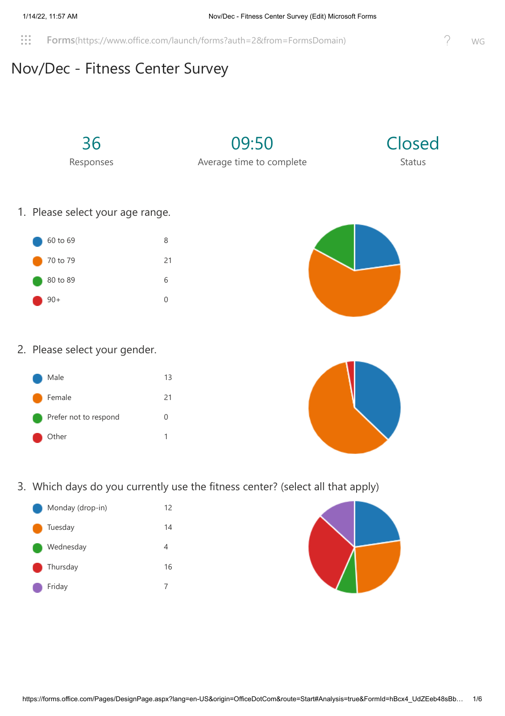**Forms**[\(https://www.office.com/launch/forms?auth=2&from=FormsDomain\)](https://www.office.com/launch/forms?auth=2&from=FormsDomain) P WG

## Nov/Dec - Fitness Center Survey

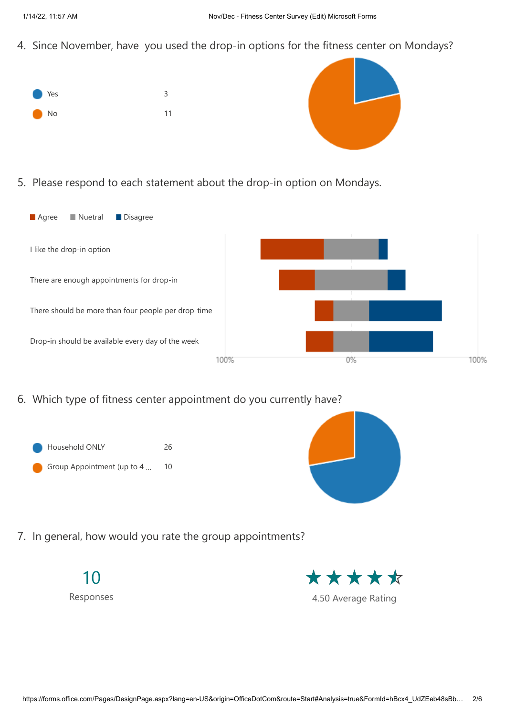4. Since November, have you used the drop-in options for the fitness center on Mondays?





5. Please respond to each statement about the drop-in option on Mondays.



6. Which type of fitness center appointment do you currently have?





7. In general, how would you rate the group appointments?

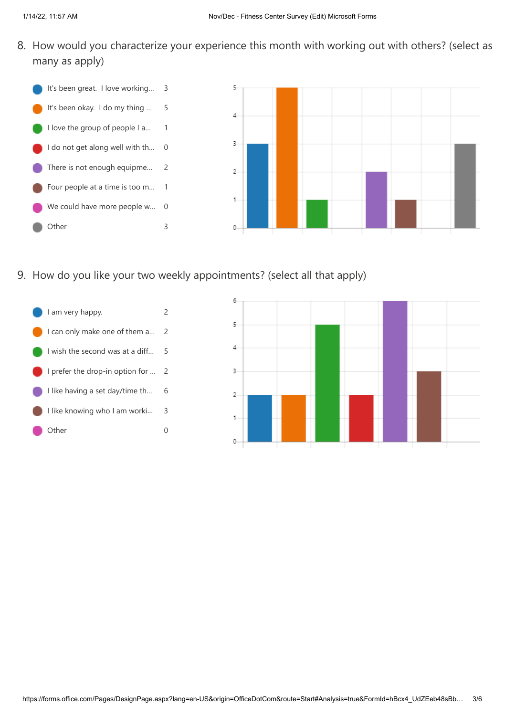8. How would you characterize your experience this month with working out with others? (select as many as apply)



9. How do you like your two weekly appointments? (select all that apply)



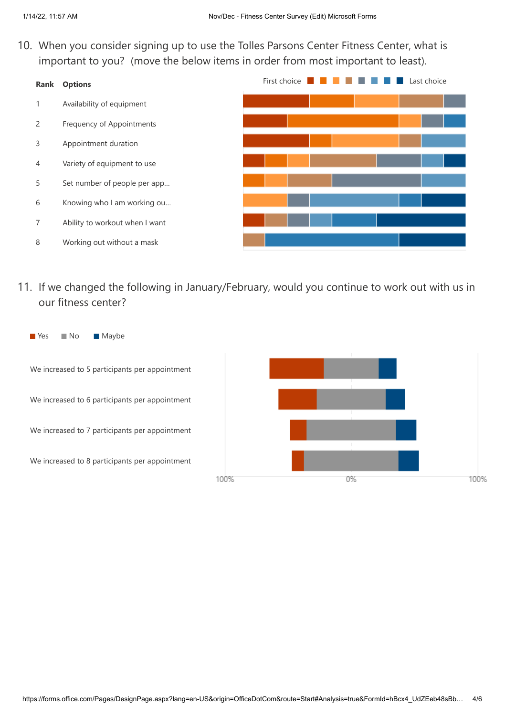10. When you consider signing up to use the Tolles Parsons Center Fitness Center, what is important to you? (move the below items in order from most important to least).



11. If we changed the following in January/February, would you continue to work out with us in our fitness center?

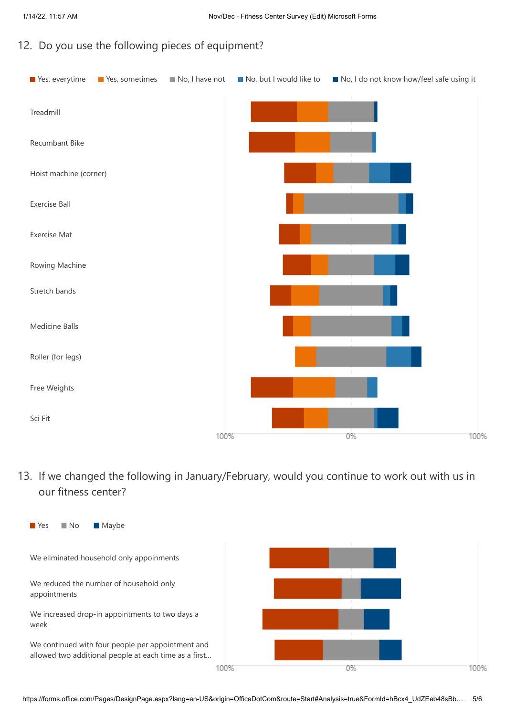#### 12. Do you use the following pieces of equipment?



13. If we changed the following in January/February, would you continue to work out with us in our fitness center?

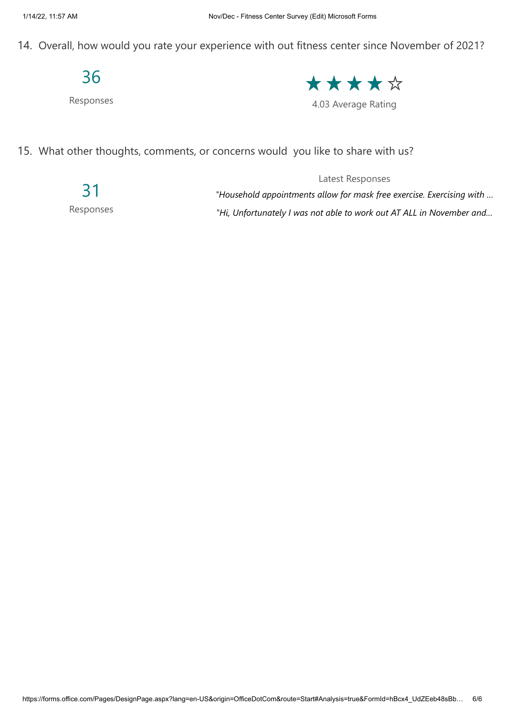14. Overall, how would you rate your experience with out fitness center since November of 2021?

## 36

Responses

\*\*\*\*\*

4.03 Average Rating

15. What other thoughts, comments, or concerns would you like to share with us?

31 Responses

*"Household appointments allow for mask free exercise. Exercising with … "Hi, Unfortunately I was not able to work out AT ALL in November and…*

Latest Responses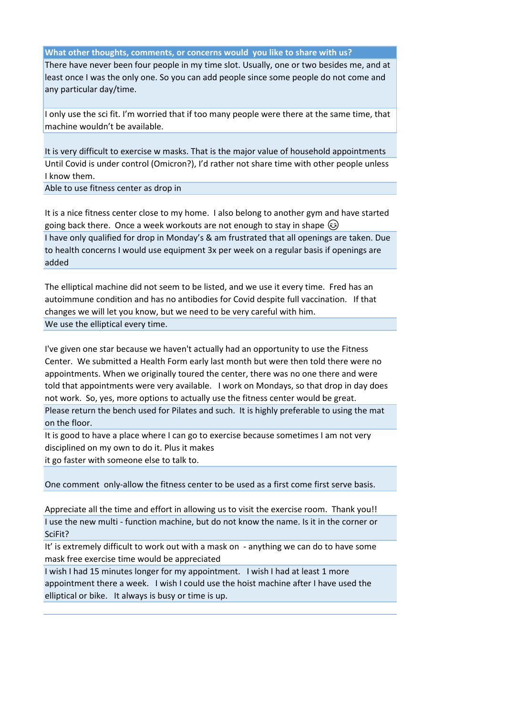#### **What other thoughts, comments, or concerns would you like to share with us?**

There have never been four people in my time slot. Usually, one or two besides me, and at least once I was the only one. So you can add people since some people do not come and any particular day/time.

I only use the sci fit. I'm worried that if too many people were there at the same time, that machine wouldn't be available.

It is very difficult to exercise w masks. That is the major value of household appointments Until Covid is under control (Omicron?), I'd rather not share time with other people unless I know them.

Able to use fitness center as drop in

It is a nice fitness center close to my home. I also belong to another gym and have started going back there. Once a week workouts are not enough to stay in shape  $\circled{e}$ I have only qualified for drop in Monday's & am frustrated that all openings are taken. Due to health concerns I would use equipment 3x per week on a regular basis if openings are added

The elliptical machine did not seem to be listed, and we use it every time. Fred has an autoimmune condition and has no antibodies for Covid despite full vaccination. If that changes we will let you know, but we need to be very careful with him. We use the elliptical every time.

I've given one star because we haven't actually had an opportunity to use the Fitness Center. We submitted a Health Form early last month but were then told there were no appointments. When we originally toured the center, there was no one there and were told that appointments were very available. I work on Mondays, so that drop in day does not work. So, yes, more options to actually use the fitness center would be great.

Please return the bench used for Pilates and such. It is highly preferable to using the mat on the floor.

It is good to have a place where I can go to exercise because sometimes I am not very disciplined on my own to do it. Plus it makes it go faster with someone else to talk to.

One comment only-allow the fitness center to be used as a first come first serve basis.

Appreciate all the time and effort in allowing us to visit the exercise room. Thank you!! I use the new multi - function machine, but do not know the name. Is it in the corner or SciFit?

It' is extremely difficult to work out with a mask on - anything we can do to have some mask free exercise time would be appreciated

I wish I had 15 minutes longer for my appointment. I wish I had at least 1 more appointment there a week. I wish I could use the hoist machine after I have used the elliptical or bike. It always is busy or time is up.